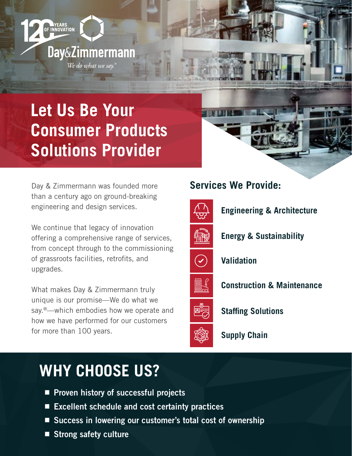# **Let Us Be Your Consumer Products Solutions Provider**

**Day&Zimmermann** 

We do what we say.

VEARS<br>OF INNOVATION

Day & Zimmermann was founded more than a century ago on ground-breaking engineering and design services.

We continue that legacy of innovation offering a comprehensive range of services, from concept through to the commissioning of grassroots facilities, retrofits, and upgrades.

What makes Day & Zimmermann truly unique is our promise—We do what we say.<sup>®</sup>—which embodies how we operate and how we have performed for our customers for more than 100 years.

### **Services We Provide:**



**Engineering & Architecture**



**Energy & Sustainability**



**Validation**

**Construction & Maintenance**



**Staffing Solutions**

**Supply Chain**

## **WHY CHOOSE US?**

- **Proven history of successful projects**
- Excellent schedule and cost certainty practices
- Success in lowering our customer's total cost of ownership
- Strong safety culture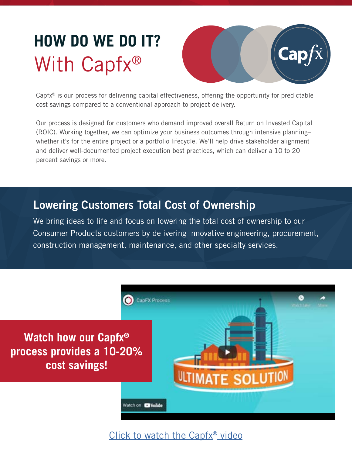# **HOW DO WE DO IT?** With Capfx<sup>®</sup>



Capfx® is our process for delivering capital effectiveness, offering the opportunity for predictable cost savings compared to a conventional approach to project delivery.

Our process is designed for customers who demand improved overall Return on Invested Capital (ROIC). Working together, we can optimize your business outcomes through intensive planning– whether it's for the entire project or a portfolio lifecycle. We'll help drive stakeholder alignment and deliver well-documented project execution best practices, which can deliver a 10 to 20 percent savings or more.

### Lowering Customers Total Cost of Ownership

We bring ideas to life and focus on lowering the total cost of ownership to our Consumer Products customers by delivering innovative engineering, procurement, construction management, maintenance, and other specialty services.



### Click to watch the Capfx<sup>®</sup> video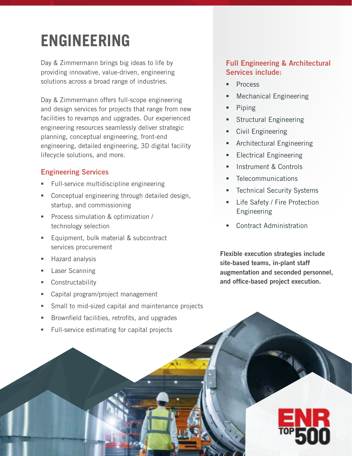# **ENGINEERING**

Day & Zimmermann brings big ideas to life by providing innovative, value-driven, engineering solutions across a broad range of industries.

Day & Zimmermann offers full-scope engineering and design services for projects that range from new facilities to revamps and upgrades. Our experienced engineering resources seamlessly deliver strategic planning, conceptual engineering, front-end engineering, detailed engineering, 3D digital facility lifecycle solutions, and more.

### Engineering Services

- Full-service multidiscipline engineering
- Conceptual engineering through detailed design, startup, and commissioning
- **Process simulation & optimization /** technology selection
- **Equipment, bulk material & subcontract** services procurement
- **Hazard analysis**
- **Laser Scanning**
- Constructability
- Capital program/project management
- Small to mid-sized capital and maintenance projects
- Brownfield facilities, retrofits, and upgrades
- Full-service estimating for capital projects

### Full Engineering & Architectural Services include:

- Process
- Mechanical Engineering
- Piping
- **Structural Engineering**
- **Civil Engineering**
- Architectural Engineering
- Electrical Engineering
- Instrument & Controls
- Telecommunications
- Technical Security Systems
- Life Safety / Fire Protection Engineering
- Contract Administration

Flexible execution strategies include site-based teams, in-plant staff augmentation and seconded personnel, and office-based project execution.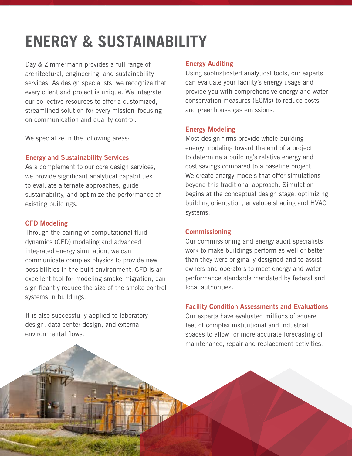# **ENERGY & SUSTAINABILITY**

Day & Zimmermann provides a full range of architectural, engineering, and sustainability services. As design specialists, we recognize that every client and project is unique. We integrate our collective resources to offer a customized, streamlined solution for every mission–focusing on communication and quality control.

We specialize in the following areas:

#### Energy and Sustainability Services

As a complement to our core design services, we provide significant analytical capabilities to evaluate alternate approaches, guide sustainability, and optimize the performance of existing buildings.

#### CFD Modeling

Through the pairing of computational fluid dynamics (CFD) modeling and advanced integrated energy simulation, we can communicate complex physics to provide new possibilities in the built environment. CFD is an excellent tool for modeling smoke migration, can significantly reduce the size of the smoke control systems in buildings.

It is also successfully applied to laboratory design, data center design, and external environmental flows.

#### Energy Auditing

Using sophisticated analytical tools, our experts can evaluate your facility's energy usage and provide you with comprehensive energy and water conservation measures (ECMs) to reduce costs and greenhouse gas emissions.

#### Energy Modeling

Most design firms provide whole-building energy modeling toward the end of a project to determine a building's relative energy and cost savings compared to a baseline project. We create energy models that offer simulations beyond this traditional approach. Simulation begins at the conceptual design stage, optimizing building orientation, envelope shading and HVAC systems.

#### **Commissioning**

Our commissioning and energy audit specialists work to make buildings perform as well or better than they were originally designed and to assist owners and operators to meet energy and water performance standards mandated by federal and local authorities.

#### Facility Condition Assessments and Evaluations

Our experts have evaluated millions of square feet of complex institutional and industrial spaces to allow for more accurate forecasting of maintenance, repair and replacement activities.

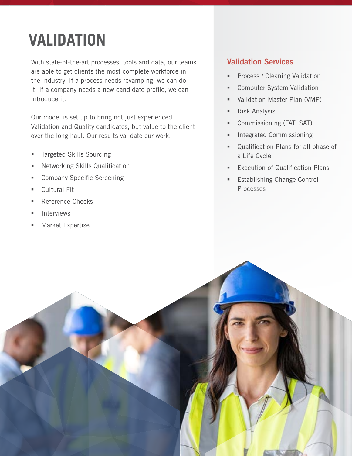# **VALIDATION**

With state-of-the-art processes, tools and data, our teams are able to get clients the most complete workforce in the industry. If a process needs revamping, we can do it. If a company needs a new candidate profile, we can introduce it.

Our model is set up to bring not just experienced Validation and Quality candidates, but value to the client over the long haul. Our results validate our work.

- Targeted Skills Sourcing
- Networking Skills Qualification
- Company Specific Screening
- Cultural Fit
- Reference Checks
- Interviews
- Market Expertise

### Validation Services

- **Process / Cleaning Validation**
- **Computer System Validation**
- Validation Master Plan (VMP)
- **Risk Analysis**
- **Commissioning (FAT, SAT)**
- **Integrated Commissioning**
- Qualification Plans for all phase of a Life Cycle
- **Execution of Qualification Plans**
- Establishing Change Control Processes

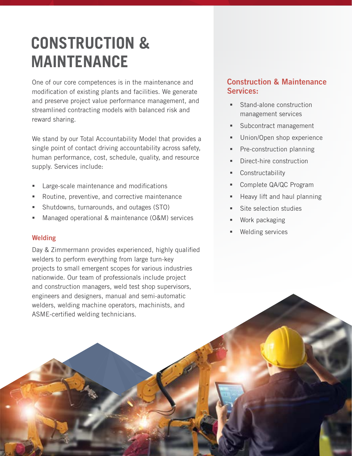## **CONSTRUCTION & MAINTENANCE**

One of our core competences is in the maintenance and modification of existing plants and facilities. We generate and preserve project value performance management, and streamlined contracting models with balanced risk and reward sharing.

We stand by our Total Accountability Model that provides a single point of contact driving accountability across safety, human performance, cost, schedule, quality, and resource supply. Services include:

- Large-scale maintenance and modifications
- Routine, preventive, and corrective maintenance
- Shutdowns, turnarounds, and outages (STO)
- Managed operational & maintenance (O&M) services

#### **Welding**

Day & Zimmermann provides experienced, highly qualified welders to perform everything from large turn-key projects to small emergent scopes for various industries nationwide. Our team of professionals include project and construction managers, weld test shop supervisors, engineers and designers, manual and semi-automatic welders, welding machine operators, machinists, and ASME-certified welding technicians.

### Construction & Maintenance Services:

- Stand-alone construction management services
- **Subcontract management**
- **Union/Open shop experience**
- **Pre-construction planning**
- Direct-hire construction
- **Constructability**
- Complete QA/QC Program
- Heavy lift and haul planning
- Site selection studies
- Work packaging
- Welding services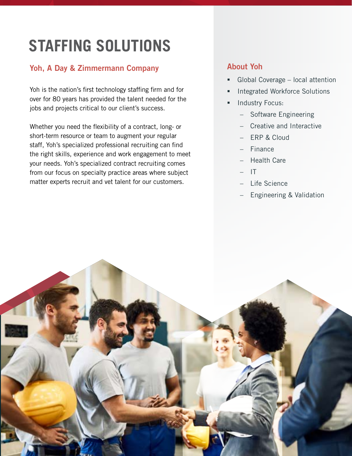# **STAFFING SOLUTIONS**

### Yoh, A Day & Zimmermann Company

Yoh is the nation's first technology staffing firm and for over for 80 years has provided the talent needed for the jobs and projects critical to our client's success.

Whether you need the flexibility of a contract, long- or short-term resource or team to augment your regular staff, Yoh's specialized professional recruiting can find the right skills, experience and work engagement to meet your needs. Yoh's specialized contract recruiting comes from our focus on specialty practice areas where subject matter experts recruit and vet talent for our customers.

### About Yoh

- Global Coverage local attention
- Integrated Workforce Solutions
- Industry Focus:
	- Software Engineering
	- Creative and Interactive
	- ERP & Cloud
	- Finance
	- Health Care
	- IT
	- Life Science
	- Engineering & Validation